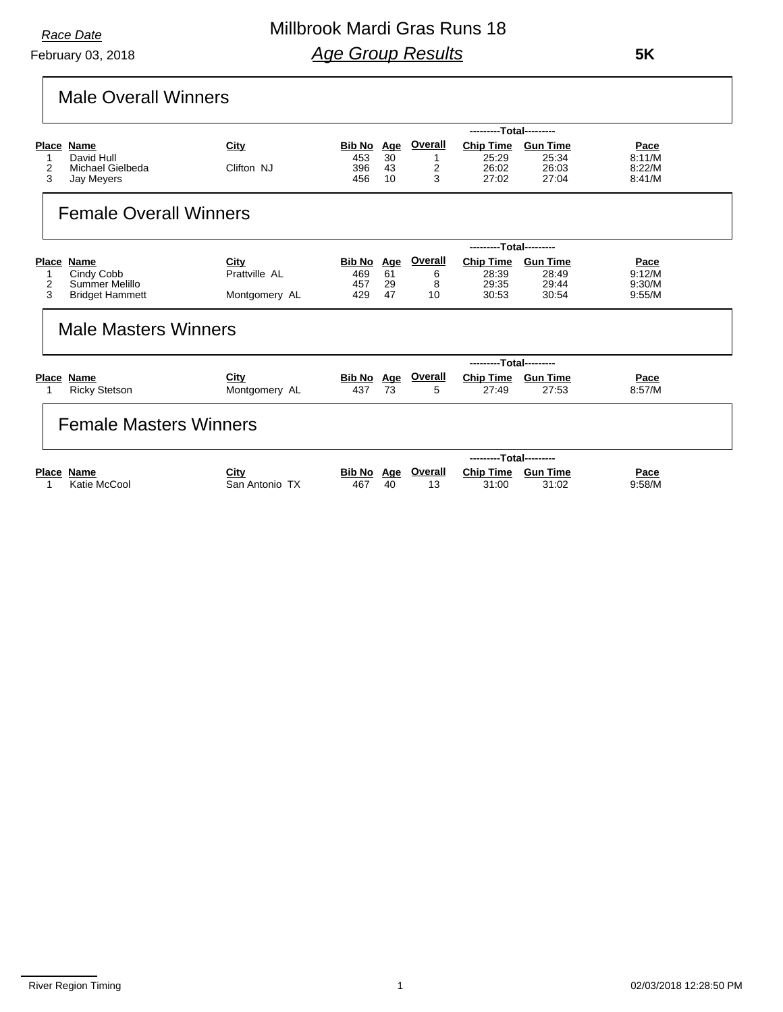February 03, 2018

## Millbrook Mardi Gras Runs 18 *Age Group Results*

 **5K**

## Male Overall Winners

|   |                               |                |               |            |                | ---------Total--------- |                 |        |
|---|-------------------------------|----------------|---------------|------------|----------------|-------------------------|-----------------|--------|
|   | Place Name                    | City           | <u>Bib No</u> | <u>Age</u> | <b>Overall</b> | <b>Chip Time</b>        | <b>Gun Time</b> | Pace   |
| 1 | David Hull                    |                | 453           | 30         | 1              | 25:29                   | 25:34           | 8:11/M |
| 2 | Michael Gielbeda              | Clifton NJ     | 396           | 43         | 2              | 26:02                   | 26:03           | 8:22/M |
| 3 | Jay Meyers                    |                | 456           | 10         | 3              | 27:02                   | 27:04           | 8:41/M |
|   | <b>Female Overall Winners</b> |                |               |            |                |                         |                 |        |
|   |                               |                |               |            |                | ---------Total--------- |                 |        |
|   | Place Name                    | City           | <b>Bib No</b> | <u>Age</u> | <b>Overall</b> | <b>Chip Time</b>        | <b>Gun Time</b> | Pace   |
|   | Cindy Cobb                    | Prattville AL  | 469           | 61         | 6              | 28:39                   | 28:49           | 9:12/M |
| 2 | Summer Melillo                |                | 457           | 29         | 8              | 29:35                   | 29:44           | 9:30/M |
| 3 | <b>Bridget Hammett</b>        | Montgomery AL  | 429           | 47         | 10             | 30:53                   | 30:54           | 9:55/M |
|   | <b>Male Masters Winners</b>   |                |               |            |                |                         |                 |        |
|   |                               |                |               |            |                | ---------Total--------- |                 |        |
|   | Place Name                    | City           | Bib No Age    |            | Overall        | <b>Chip Time</b>        | <b>Gun Time</b> | Pace   |
|   | <b>Ricky Stetson</b>          | Montgomery AL  | 437           | 73         | 5              | 27:49                   | 27:53           | 8:57/M |
|   | <b>Female Masters Winners</b> |                |               |            |                |                         |                 |        |
|   |                               |                |               |            |                | ---------Total--------- |                 |        |
|   | <b>Place Name</b>             | City           | Bib No        | <u>Age</u> | Overall        | <b>Chip Time</b>        | <b>Gun Time</b> | Pace   |
|   | Katie McCool                  | San Antonio TX | 467           | 40         | 13             | 31:00                   | 31:02           | 9:58/M |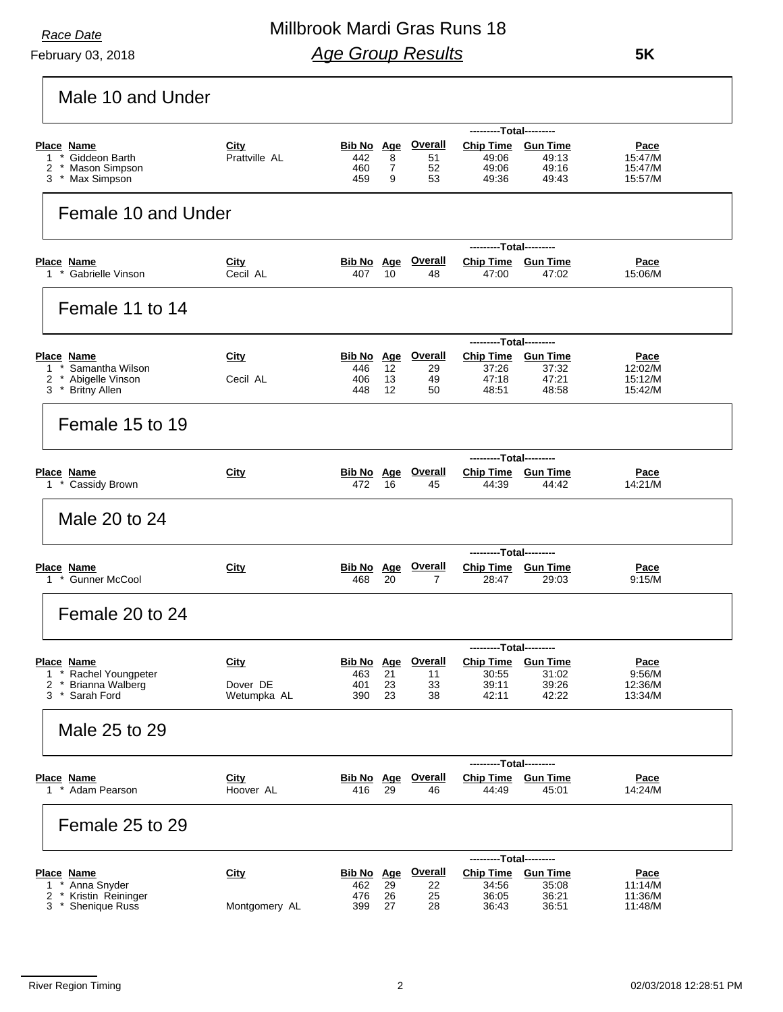r

February 03, 2018

## Millbrook Mardi Gras Runs 18 *Age Group Results*

 **5K**

| Male 10 and Under                                    |                         |                          |          |                                 |                                               |                          |                        |
|------------------------------------------------------|-------------------------|--------------------------|----------|---------------------------------|-----------------------------------------------|--------------------------|------------------------|
|                                                      |                         |                          |          |                                 | ---------Total---------                       |                          |                        |
| <b>Place Name</b><br>* Giddeon Barth<br>$\mathbf{1}$ | City<br>Prattville AL   | <b>Bib No Age</b><br>442 | 8        | <b>Overall</b><br>51            | <b>Chip Time</b><br>49:06                     | <b>Gun Time</b><br>49:13 | <u>Pace</u><br>15:47/M |
| * Mason Simpson<br>2                                 |                         | 460                      | 7        | 52                              | 49:06                                         | 49:16                    | 15:47/M                |
| 3 * Max Simpson                                      |                         | 459                      | 9        | 53                              | 49:36                                         | 49:43                    | 15:57/M                |
| Female 10 and Under                                  |                         |                          |          |                                 |                                               |                          |                        |
| Place Name                                           | City                    |                          |          | <b>Bib No Age Overall</b>       | ---------Total---------<br>Chip Time Gun Time |                          | <u>Pace</u>            |
| 1 * Gabrielle Vinson                                 | Cecil AL                | 407                      | 10       | 48                              | 47:00                                         | 47:02                    | 15:06/M                |
| Female 11 to 14                                      |                         |                          |          |                                 |                                               |                          |                        |
|                                                      | City                    |                          |          | <b>Bib No Age Overall</b>       | ---------Total---------<br><b>Chip Time</b>   | <b>Gun Time</b>          |                        |
| <b>Place Name</b><br>* Samantha Wilson<br>1          |                         | 446                      | 12       | 29                              | 37:26                                         | 37:32                    | <u>Pace</u><br>12:02/M |
| * Abigelle Vinson<br>2                               | Cecil AL                | 406<br>448               | 13       | 49                              | 47:18                                         | 47:21<br>48:58           | 15:12/M                |
| 3 * Britny Allen                                     |                         |                          | 12       | 50                              | 48:51                                         |                          | 15:42/M                |
| Female 15 to 19                                      |                         |                          |          |                                 |                                               |                          |                        |
| <b>Place Name</b>                                    | City                    |                          |          | <b>Bib No Age Overall</b>       | ---------Total---------<br>Chip Time Gun Time |                          | Pace                   |
| 1 * Cassidy Brown                                    |                         | 472                      | 16       | 45                              | 44:39                                         | 44:42                    | 14:21/M                |
| Male 20 to 24                                        |                         |                          |          |                                 |                                               |                          |                        |
| Place Name                                           | City                    | <b>Bib No Age</b>        |          | <b>Overall</b>                  | ---------Total---------<br><b>Chip Time</b>   | <b>Gun Time</b>          | <u>Pace</u>            |
| 1 * Gunner McCool                                    |                         | 468                      | 20       | 7                               | 28:47                                         | 29:03                    | 9:15/M                 |
| Female 20 to 24                                      |                         |                          |          |                                 |                                               |                          |                        |
| Place Name                                           | <b>City</b>             |                          |          | <b>Bib No Age Overall</b>       | ---------Total---------<br><b>Chip Time</b>   | <b>Gun Time</b>          | Pace                   |
| * Rachel Youngpeter<br>1                             |                         | 463                      | 21       | 11                              | 30:55                                         | 31:02                    | 9:56/M                 |
| <b>Brianna Walberg</b><br>2<br>3<br>* Sarah Ford     | Dover DE<br>Wetumpka AL | 401<br>390               | 23<br>23 | 33<br>38                        | 39:11<br>42:11                                | 39:26<br>42:22           | 12:36/M<br>13:34/M     |
| Male 25 to 29                                        |                         |                          |          |                                 |                                               |                          |                        |
|                                                      |                         |                          |          |                                 | ---------Total---------                       |                          |                        |
| <b>Place Name</b><br>1 * Adam Pearson                | City<br>Hoover AL       | 416                      | 29       | <b>Bib No</b> Age Overall<br>46 | <b>Chip Time</b><br>44:49                     | <b>Gun Time</b><br>45:01 | <u>Pace</u><br>14:24/M |
| Female 25 to 29                                      |                         |                          |          |                                 |                                               |                          |                        |
|                                                      |                         |                          |          |                                 | ---------Total---------                       |                          |                        |
| <b>Place Name</b><br>* Anna Snyder<br>$\mathbf{1}$   | <b>City</b>             | Bib No Age<br>462        | 29       | <b>Overall</b><br>22            | <b>Chip Time</b><br>34:56                     | <b>Gun Time</b><br>35:08 | <u>Pace</u><br>11:14/M |
| * Kristin Reininger<br>2                             |                         | 476                      | 26       | 25                              | 36:05                                         | 36:21                    | 11:36/M                |
| 3 * Shenique Russ                                    | Montgomery AL           | 399                      | 27       | 28                              | 36:43                                         | 36:51                    | 11:48/M                |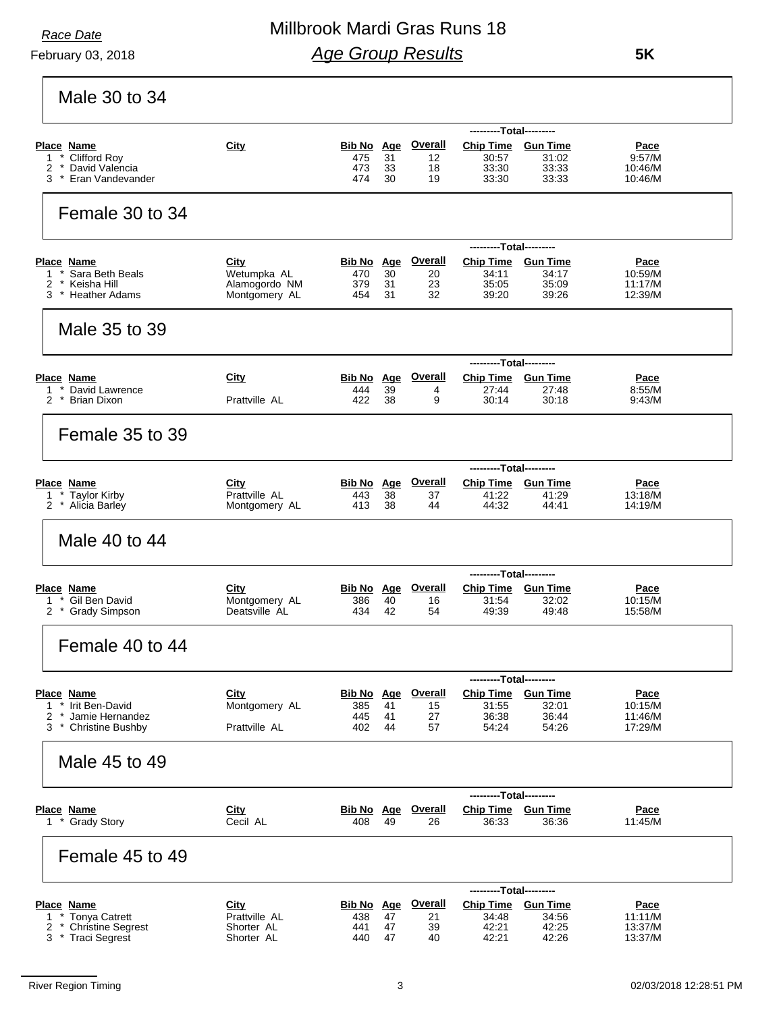February 03, 2018

 **5K**

Male 30 to 34

|                                                     |                                |                   |          | <b>Overall</b>            | ---------Total---------     |                 |                    |
|-----------------------------------------------------|--------------------------------|-------------------|----------|---------------------------|-----------------------------|-----------------|--------------------|
| <b>Place Name</b><br>* Clifford Roy<br>$\mathbf{1}$ | City                           | Bib No Age<br>475 | 31       | 12                        | Chip Time Gun Time<br>30:57 | 31:02           | Pace<br>9:57/M     |
| * David Valencia<br>2                               |                                | 473               | 33       | 18                        | 33:30                       | 33:33           | 10:46/M            |
| * Eran Vandevander<br>3                             |                                | 474               | 30       | 19                        | 33:30                       | 33:33           | 10:46/M            |
| Female 30 to 34                                     |                                |                   |          |                           |                             |                 |                    |
|                                                     |                                |                   |          |                           | ---------Total---------     |                 |                    |
| <b>Place Name</b>                                   | <u>City</u>                    | Bib No Age        |          | <b>Overall</b>            | <b>Chip Time</b>            | <b>Gun Time</b> | <u>Pace</u>        |
| $\mathbf{1}$<br>Sara Beth Beals                     | Wetumpka AL                    | 470               | 30       | 20                        | 34:11                       | 34:17           | 10:59/M            |
| 2<br>Keisha Hill<br>$^{\star}$<br>3 * Heather Adams | Alamogordo NM<br>Montgomery AL | 379<br>454        | 31<br>31 | 23<br>32                  | 35:05<br>39:20              | 35:09<br>39:26  | 11:17/M<br>12:39/M |
| Male 35 to 39                                       |                                |                   |          |                           |                             |                 |                    |
|                                                     |                                |                   |          |                           | ---------Total---------     |                 |                    |
| Place Name                                          | City                           |                   |          | <b>Bib No Age Overall</b> | Chip Time Gun Time          |                 | <u>Pace</u>        |
| * David Lawrence<br>1                               |                                | 444               | 39       | 4                         | 27:44                       | 27:48           | 8:55/M             |
| 2 * Brian Dixon                                     | Prattville AL                  | 422               | 38       | 9                         | 30:14                       | 30:18           | 9:43/M             |
| Female 35 to 39                                     |                                |                   |          |                           |                             |                 |                    |
|                                                     |                                |                   |          |                           | ---------Total---------     |                 |                    |
| <b>Place Name</b>                                   | City                           | Bib No Age        |          | <b>Overall</b>            | Chip Time Gun Time          |                 | Pace               |
| * Taylor Kirby<br>1                                 | Prattville AL                  | 443               | 38       | 37                        | 41:22                       | 41:29           | 13:18/M            |
| 2 * Alicia Barley                                   | Montgomery AL                  | 413               | 38       | 44                        | 44:32                       | 44:41           | 14:19/M            |
| Male 40 to 44                                       |                                |                   |          |                           |                             |                 |                    |
|                                                     |                                |                   |          |                           | ---------Total---------     |                 |                    |
| Place Name                                          | City                           | Bib No Age        |          | <b>Overall</b>            | Chip Time Gun Time          |                 | <b>Pace</b>        |
| * Gil Ben David<br>1<br>2 * Grady Simpson           | Montgomery AL<br>Deatsville AL | 386<br>434        | 40<br>42 | 16<br>54                  | 31:54<br>49:39              | 32:02<br>49:48  | 10:15/M<br>15:58/M |
|                                                     |                                |                   |          |                           |                             |                 |                    |
| Female 40 to 44                                     |                                |                   |          |                           |                             |                 |                    |
|                                                     |                                |                   |          |                           | ---------Total-----         |                 |                    |
| Place Name                                          | City                           |                   |          | <b>Bib No Age Overall</b> | <b>Chip Time Gun Time</b>   |                 | Pace               |
| 1 * Irit Ben-David                                  | Montgomery AL                  | 385               | 41       | 15                        | 31:55                       | 32:01           | 10:15/M            |
| * Jamie Hernandez<br>2<br>3 * Christine Bushby      | Prattville AL                  | 445<br>402        | 41<br>44 | 27<br>57                  | 36:38<br>54:24              | 36:44<br>54:26  | 11:46/M<br>17:29/M |
|                                                     |                                |                   |          |                           |                             |                 |                    |
| Male 45 to 49                                       |                                |                   |          |                           |                             |                 |                    |
|                                                     |                                |                   |          |                           | ---------Total---------     |                 |                    |
| <b>Place Name</b><br>1 * Grady Story                | City<br>Cecil AL               |                   |          | <b>Bib No Age Overall</b> | <b>Chip Time Gun Time</b>   |                 | Pace<br>11:45/M    |
|                                                     |                                | 408 49            |          | 26                        | 36:33                       | 36:36           |                    |
| Female 45 to 49                                     |                                |                   |          |                           |                             |                 |                    |
|                                                     |                                |                   |          |                           | ---------Total---------     |                 |                    |
| <b>Place Name</b>                                   | City                           | <b>Bib No Age</b> |          | <b>Overall</b>            | <b>Chip Time</b>            | <b>Gun Time</b> | Pace               |
| * Tonya Catrett<br>1<br>* Christine Segrest<br>2    | Prattville AL<br>Shorter AL    | 438<br>441        | 47<br>47 | 21                        | 34:48                       | 34:56           | 11:11/M            |
| 3 * Traci Segrest                                   | Shorter AL                     | 440               | 47       | 39<br>40                  | 42:21<br>42:21              | 42:25<br>42:26  | 13:37/M<br>13:37/M |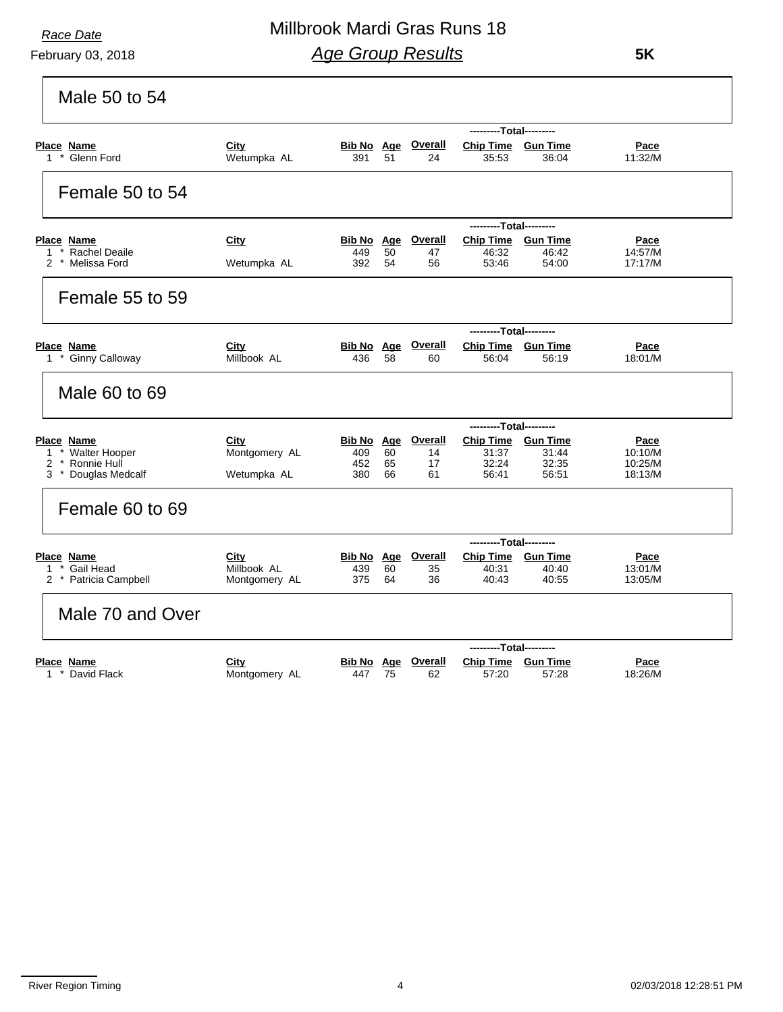### February 03, 2018

## Millbrook Mardi Gras Runs 18 *Age Group Results*

 **5K**

| Male 50 to 54                                                                                     |                                      |                                        |                |                                  |                                                      |                         |                                              |
|---------------------------------------------------------------------------------------------------|--------------------------------------|----------------------------------------|----------------|----------------------------------|------------------------------------------------------|-------------------------|----------------------------------------------|
|                                                                                                   |                                      |                                        |                |                                  | ---------Total---------                              |                         |                                              |
| <b>Place Name</b><br>1 * Glenn Ford                                                               | City<br>Wetumpka AL                  | <u>Bib No Age</u><br>391               | 51             | <b>Overall</b><br>24             | <b>Chip Time Gun Time</b><br>35.53                   | 36:04                   | <b>Pace</b><br>11:32/M                       |
| Female 50 to 54                                                                                   |                                      |                                        |                |                                  |                                                      |                         |                                              |
|                                                                                                   |                                      |                                        |                |                                  | ---------Total---------                              |                         |                                              |
| Place Name                                                                                        | City                                 |                                        |                | <b>Bib No Age Overall</b>        | Chip Time Gun Time                                   |                         | Pace                                         |
| 1 * Rachel Deaile<br>2 * Melissa Ford                                                             | Wetumpka AL                          | 449<br>392                             | 50<br>54       | 47<br>56                         | 46:32<br>53:46                                       | 46:42<br>54:00          | 14:57/M<br>17:17/M                           |
| Female 55 to 59                                                                                   |                                      |                                        |                |                                  |                                                      |                         |                                              |
|                                                                                                   |                                      |                                        |                |                                  | ---------Total---------                              |                         |                                              |
| Place Name                                                                                        | City                                 |                                        |                | <b>Bib No Age Overall</b>        | <b>Chip Time Gun Time</b>                            |                         | <b>Pace</b>                                  |
| 1 * Ginny Calloway                                                                                | Millbook AL                          | 436                                    | 58             | 60                               | 56:04                                                | 56:19                   | 18:01/M                                      |
| Male 60 to 69                                                                                     |                                      |                                        |                |                                  |                                                      |                         |                                              |
|                                                                                                   |                                      |                                        |                |                                  | ---------Total---------                              |                         |                                              |
| <b>Place Name</b><br>* Walter Hooper<br>$\mathbf{1}$<br>2<br>* Ronnie Hull<br>3 * Douglas Medcalf | City<br>Montgomery AL<br>Wetumpka AL | <b>Bib No</b> Age<br>409<br>452<br>380 | 60<br>65<br>66 | <b>Overall</b><br>14<br>17<br>61 | <b>Chip Time Gun Time</b><br>31:37<br>32:24<br>56:41 | 31:44<br>32:35<br>56:51 | <u>Pace</u><br>10:10/M<br>10:25/M<br>18:13/M |
| Female 60 to 69                                                                                   |                                      |                                        |                |                                  |                                                      |                         |                                              |
|                                                                                                   |                                      |                                        |                |                                  | ---------Total---------                              |                         |                                              |
| Place Name<br>* Gail Head<br>1.                                                                   | City<br>Millbook AL                  | Bib No Age<br>439                      | 60             | <b>Overall</b>                   | Chip Time Gun Time<br>40:31                          | 40:40                   | Pace<br>13:01/M                              |
| 2 * Patricia Campbell                                                                             | Montgomery AL                        | 375                                    | 64             | 35<br>36                         | 40:43                                                | 40:55                   | 13:05/M                                      |
| Male 70 and Over                                                                                  |                                      |                                        |                |                                  |                                                      |                         |                                              |
|                                                                                                   |                                      |                                        |                |                                  | ---------Total---------                              |                         |                                              |
| <b>Place Name</b><br>1 * David Flack                                                              | City<br>Montgomery AL                | Bib No Age<br>447                      | 75             | <b>Overall</b><br>62             | <b>Chip Time Gun Time</b><br>57:20                   | 57:28                   | <u>Pace</u><br>18:26/M                       |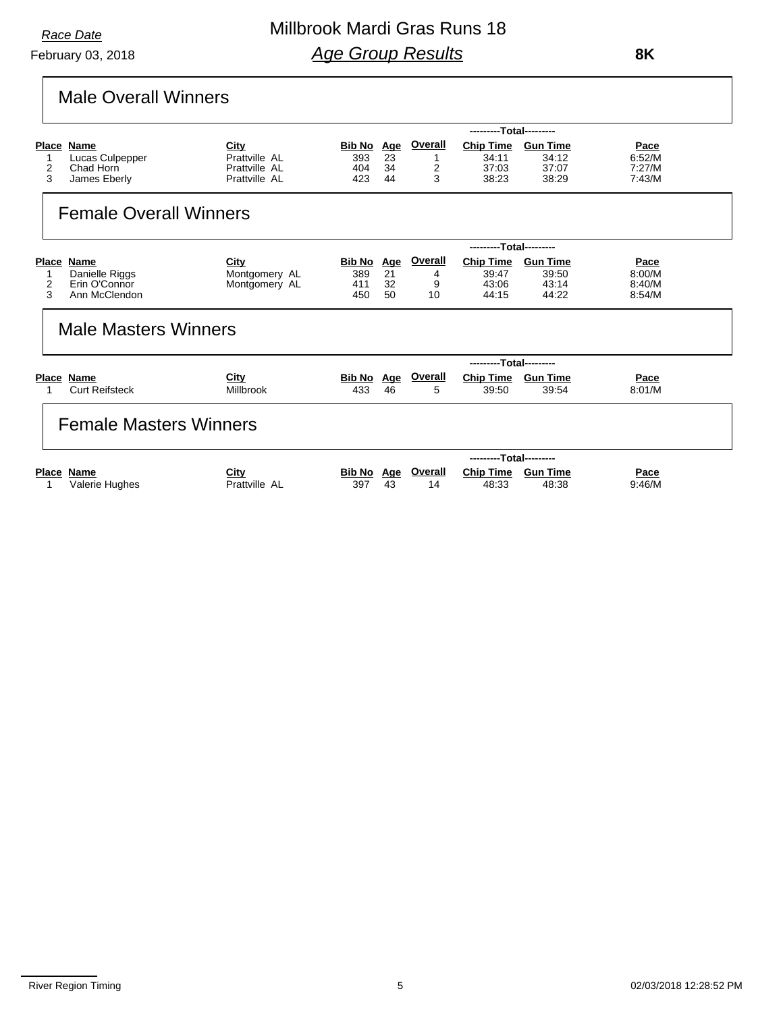February 03, 2018

## Millbrook Mardi Gras Runs 18 *Age Group Results*

 **8K**

# Male Overall Winners

|                        |                                                                                               |                                                         |                                    |                              |                                       | ---------Total---------                     |                                            |                                           |
|------------------------|-----------------------------------------------------------------------------------------------|---------------------------------------------------------|------------------------------------|------------------------------|---------------------------------------|---------------------------------------------|--------------------------------------------|-------------------------------------------|
| <b>Place</b><br>2<br>3 | Name<br>Lucas Culpepper<br>Chad Horn<br>James Eberly                                          | City<br>Prattville AL<br>Prattville AL<br>Prattville AL | Bib No Age<br>393<br>404<br>423    | 23<br>34<br>44               | <b>Overall</b><br>$\overline{2}$<br>3 | <b>Chip Time</b><br>34:11<br>37:03<br>38.23 | <b>Gun Time</b><br>34:12<br>37:07<br>38:29 | Pace<br>6:52/M<br>7:27/M<br>7:43/M        |
|                        | <b>Female Overall Winners</b>                                                                 |                                                         |                                    |                              |                                       |                                             |                                            |                                           |
|                        |                                                                                               |                                                         |                                    |                              |                                       | ---------Total---------                     |                                            |                                           |
| 2<br>3                 | Place Name<br>Danielle Riggs<br>Erin O'Connor<br>Ann McClendon<br><b>Male Masters Winners</b> | City<br>Montgomery AL<br>Montgomery AL                  | <u>Bib No</u><br>389<br>411<br>450 | <u>Age</u><br>21<br>32<br>50 | <b>Overall</b><br>4<br>9<br>10        | <b>Chip Time</b><br>39:47<br>43:06<br>44:15 | <b>Gun Time</b><br>39:50<br>43:14<br>44:22 | <b>Pace</b><br>8:00/M<br>8:40/M<br>8:54/M |
|                        |                                                                                               |                                                         |                                    |                              |                                       | ---------Total---------                     |                                            |                                           |
|                        | Place Name<br><b>Curt Reifsteck</b>                                                           | City<br><b>Millbrook</b>                                | Bib No Age<br>433                  | 46                           | Overall<br>5                          | <b>Chip Time</b><br>39:50                   | <b>Gun Time</b><br>39:54                   | Pace<br>8:01/M                            |
|                        | <b>Female Masters Winners</b>                                                                 |                                                         |                                    |                              |                                       |                                             |                                            |                                           |
|                        |                                                                                               |                                                         |                                    |                              |                                       | ---------Total---------                     |                                            |                                           |
| <b>Place</b>           | Name<br>Valerie Hughes                                                                        | City<br>Prattville AL                                   | Bib No<br>397                      | Age<br>43                    | Overall<br>14                         | <b>Chip Time</b><br>48:33                   | <b>Gun Time</b><br>48:38                   | Pace<br>9:46/M                            |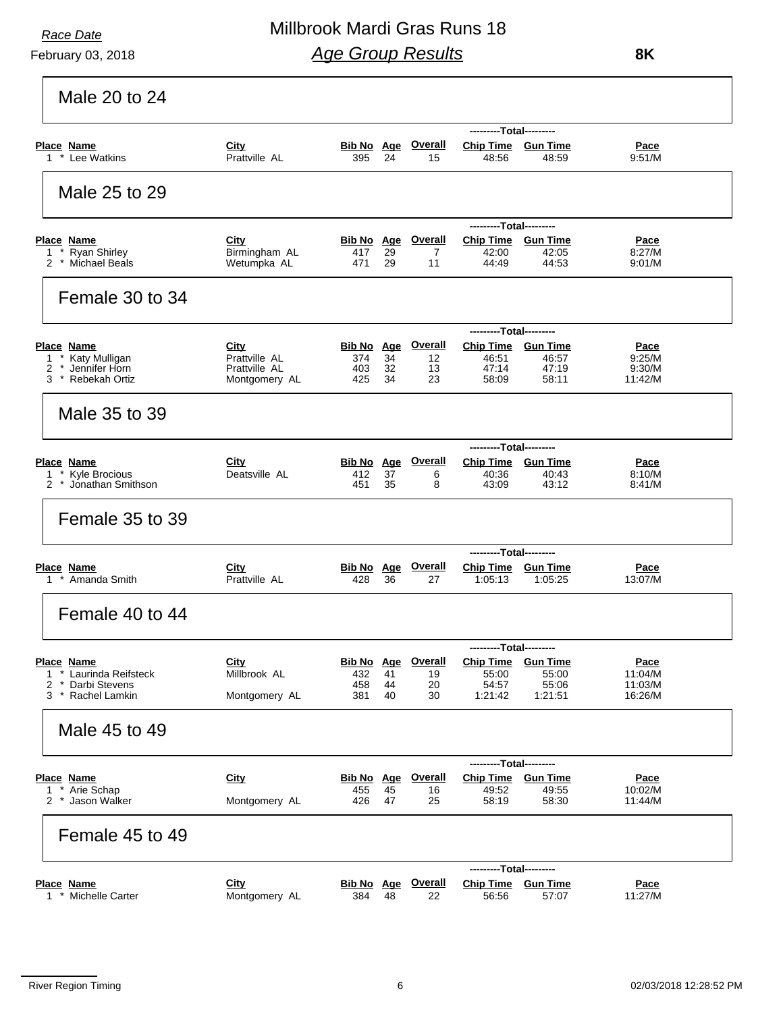### February 03, 2018

## Millbrook Mardi Gras Runs 18 *Age Group Results*

 **8K**

|                                                                                     |                                                         |                                        |                |                           | ---------Total---------                       |                               |                                     |
|-------------------------------------------------------------------------------------|---------------------------------------------------------|----------------------------------------|----------------|---------------------------|-----------------------------------------------|-------------------------------|-------------------------------------|
| <b>Place Name</b><br>1 * Lee Watkins                                                | City<br>Prattville AL                                   | Bib No Age<br>395                      | 24             | <b>Overall</b><br>15      | <b>Chip Time Gun Time</b><br>48:56            | 48:59                         | <b>Pace</b><br>9:51/M               |
| Male 25 to 29                                                                       |                                                         |                                        |                |                           |                                               |                               |                                     |
|                                                                                     |                                                         |                                        |                |                           | ---------Total---------                       |                               |                                     |
| <b>Place Name</b><br>1 * Ryan Shirley<br>2 * Michael Beals                          | City<br>Birmingham AL<br>Wetumpka AL                    | Bib No Age<br>417<br>471               | 29<br>29       | <b>Overall</b><br>7<br>11 | Chip Time Gun Time<br>42:00<br>44:49          | 42:05<br>44:53                | <u>Pace</u><br>8:27/M<br>9.01/M     |
| Female 30 to 34                                                                     |                                                         |                                        |                |                           |                                               |                               |                                     |
|                                                                                     |                                                         |                                        |                |                           | --------Total---------                        |                               |                                     |
| <b>Place Name</b><br>1 * Katy Mulligan<br>* Jennifer Horn<br>2<br>3 * Rebekah Ortiz | City<br>Prattville AL<br>Prattville AL<br>Montgomery AL | <b>Bib No Age</b><br>374<br>403<br>425 | 34<br>32<br>34 | Overall<br>12<br>13<br>23 | Chip Time Gun Time<br>46:51<br>47:14<br>58:09 | 46:57<br>47:19<br>58:11       | Pace<br>9:25/M<br>9.30/M<br>11:42/M |
| Male 35 to 39                                                                       |                                                         |                                        |                |                           |                                               |                               |                                     |
|                                                                                     |                                                         |                                        |                |                           | ---------Total---------                       |                               |                                     |
| <b>Place Name</b><br>1 * Kyle Brocious<br>2 * Jonathan Smithson                     | City<br>Deatsville AL                                   | <b>Bib No Age</b><br>412<br>451        | 37<br>35       | <b>Overall</b><br>6<br>8  | Chip Time Gun Time<br>40:36<br>43:09          | 40:43<br>43:12                | <u>Pace</u><br>8:10/M<br>8:41/M     |
| Female 35 to 39                                                                     |                                                         |                                        |                |                           |                                               |                               |                                     |
|                                                                                     |                                                         |                                        |                |                           | ---------Total---------                       |                               |                                     |
| Place Name<br>1 * Amanda Smith                                                      | City<br>Prattville AL                                   | <b>Bib No</b> Age<br>428               | 36             | <b>Overall</b><br>27      | 1:05:13                                       | Chip Time Gun Time<br>1:05:25 | <b>Pace</b><br>13:07/M              |
| Female 40 to 44                                                                     |                                                         |                                        |                |                           |                                               |                               |                                     |
|                                                                                     |                                                         |                                        |                |                           | ---------Total---------                       |                               |                                     |
| <b>Place Name</b><br>* Laurinda Reifsteck<br>1                                      | City<br>Millbrook AL                                    | Bib No Age<br>432                      | 41             | <b>Overall</b><br>19      | <b>Chip Time</b><br>55:00                     | <b>Gun Time</b><br>55:00      | <b>Pace</b><br>11:04/M              |
| 2<br>$\star$<br>Darbi Stevens                                                       |                                                         | 458                                    | 44             | 20                        | 54:57                                         | 55:06                         | 11:03/M                             |
| * Rachel Lamkin<br>3                                                                | Montgomery AL                                           | 381                                    | 40             | 30                        | 1:21:42                                       | 1:21:51                       | 16:26/M                             |
| Male 45 to 49                                                                       |                                                         |                                        |                |                           |                                               |                               |                                     |
|                                                                                     | City                                                    | Bib No Age                             |                | <b>Overall</b>            | ---------Total---------<br><b>Chip Time</b>   | <b>Gun Time</b>               |                                     |
| Place Name<br>1 * Arie Schap                                                        |                                                         | 455                                    | 45             | 16                        | 49:52                                         | 49:55                         | <b>Pace</b><br>10:02/M              |
| 2 * Jason Walker                                                                    | Montgomery AL                                           | 426                                    | 47             | 25                        | 58:19                                         | 58:30                         | 11:44/M                             |
| Female 45 to 49                                                                     |                                                         |                                        |                |                           |                                               |                               |                                     |
|                                                                                     |                                                         |                                        |                |                           | ---------Total---------                       |                               |                                     |
| <b>Place Name</b><br>1 * Michelle Carter                                            | City<br>Montgomery AL                                   | Bib No Age<br>384                      | 48             | <b>Overall</b><br>22      | Chip Time Gun Time<br>56:56                   | 57:07                         | <u>Pace</u><br>11:27/M              |
|                                                                                     |                                                         |                                        |                |                           |                                               |                               |                                     |